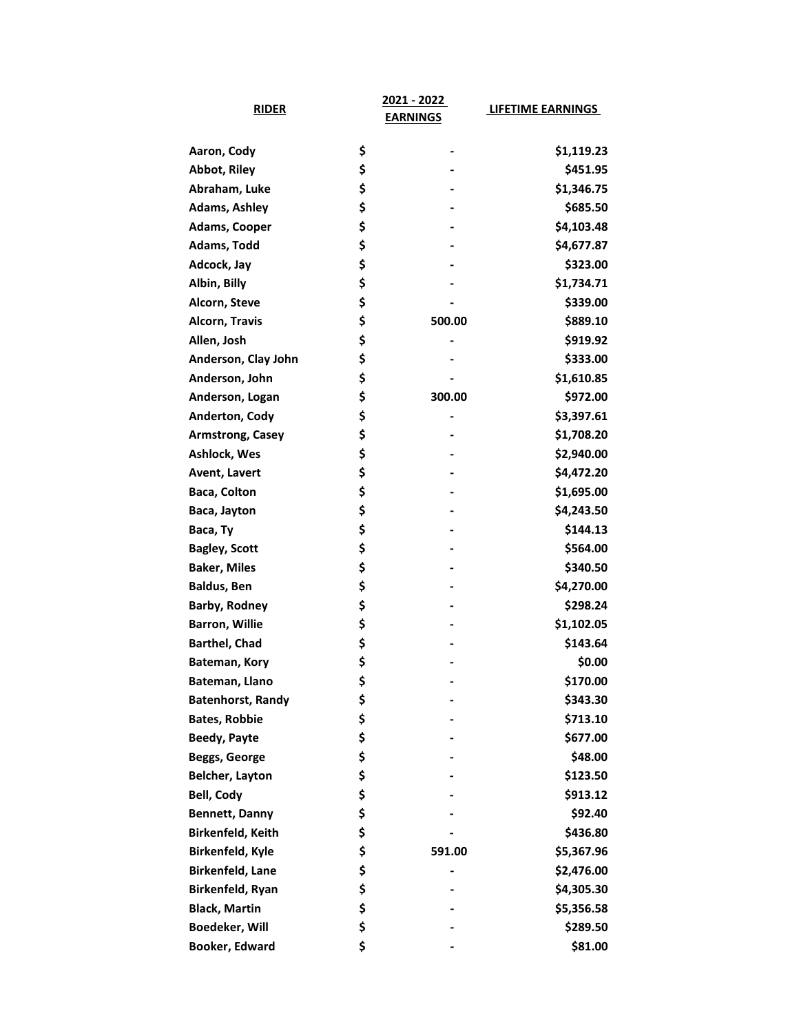| <b>RIDER</b>             | 2021 - 2022     | <b>LIFETIME EARNINGS</b> |
|--------------------------|-----------------|--------------------------|
|                          | <b>EARNINGS</b> |                          |
| Aaron, Cody              | \$              | \$1,119.23               |
| <b>Abbot, Riley</b>      | \$              | \$451.95                 |
| Abraham, Luke            | \$              | \$1,346.75               |
| <b>Adams, Ashley</b>     | \$              | \$685.50                 |
| <b>Adams, Cooper</b>     | \$              | \$4,103.48               |
| Adams, Todd              | \$              | \$4,677.87               |
| Adcock, Jay              | \$              | \$323.00                 |
| Albin, Billy             | \$              | \$1,734.71               |
| Alcorn, Steve            | \$              | \$339.00                 |
| Alcorn, Travis           | \$<br>500.00    | \$889.10                 |
| Allen, Josh              | \$              | \$919.92                 |
| Anderson, Clay John      | \$              | \$333.00                 |
| Anderson, John           | \$              | \$1,610.85               |
| Anderson, Logan          | \$<br>300.00    | \$972.00                 |
| Anderton, Cody           | \$              | \$3,397.61               |
| <b>Armstrong, Casey</b>  | \$              | \$1,708.20               |
| Ashlock, Wes             | \$              | \$2,940.00               |
| Avent, Lavert            | \$              | \$4,472.20               |
| Baca, Colton             | \$              | \$1,695.00               |
| Baca, Jayton             | \$              | \$4,243.50               |
| Baca, Ty                 | \$              | \$144.13                 |
| <b>Bagley, Scott</b>     | \$              | \$564.00                 |
| <b>Baker, Miles</b>      | \$              | \$340.50                 |
| <b>Baldus, Ben</b>       | \$              | \$4,270.00               |
| <b>Barby, Rodney</b>     | \$              | \$298.24                 |
| <b>Barron, Willie</b>    | \$              | \$1,102.05               |
| <b>Barthel, Chad</b>     | \$              | \$143.64                 |
| Bateman, Kory            | \$              | \$0.00                   |
| Bateman, Llano           | \$              | \$170.00                 |
| <b>Batenhorst, Randy</b> | \$              | \$343.30                 |
| <b>Bates, Robbie</b>     | \$              | \$713.10                 |
| <b>Beedy, Payte</b>      | \$              | \$677.00                 |
| Beggs, George            | \$              | \$48.00                  |
| <b>Belcher, Layton</b>   | \$              | \$123.50                 |
| <b>Bell, Cody</b>        | \$              | \$913.12                 |
| <b>Bennett, Danny</b>    | \$              | \$92.40                  |
| Birkenfeld, Keith        | \$              | \$436.80                 |
| Birkenfeld, Kyle         | \$<br>591.00    | \$5,367.96               |
| Birkenfeld, Lane         | \$              | \$2,476.00               |
| Birkenfeld, Ryan         | \$              | \$4,305.30               |
| <b>Black, Martin</b>     | \$              | \$5,356.58               |
| Boedeker, Will           | \$              | \$289.50                 |
| Booker, Edward           | \$              | \$81.00                  |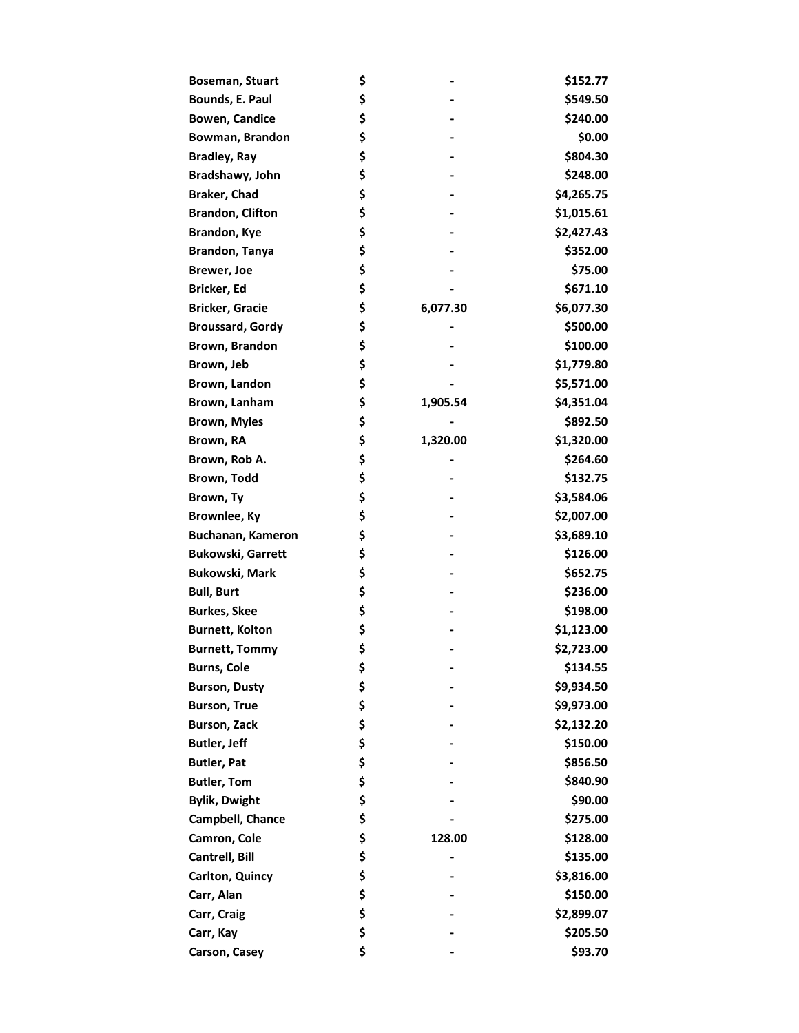| <b>Boseman, Stuart</b>   | \$             | \$152.77   |
|--------------------------|----------------|------------|
| Bounds, E. Paul          | \$             | \$549.50   |
| <b>Bowen, Candice</b>    | \$             | \$240.00   |
| Bowman, Brandon          | \$             | \$0.00     |
| <b>Bradley, Ray</b>      | \$             | \$804.30   |
| Bradshawy, John          | \$             | \$248.00   |
| Braker, Chad             | \$             | \$4,265.75 |
| <b>Brandon, Clifton</b>  | \$             | \$1,015.61 |
| Brandon, Kye             | \$             | \$2,427.43 |
| <b>Brandon, Tanya</b>    | \$             | \$352.00   |
| <b>Brewer, Joe</b>       | \$             | \$75.00    |
| Bricker, Ed              | \$             | \$671.10   |
| <b>Bricker, Gracie</b>   | \$<br>6,077.30 | \$6,077.30 |
| <b>Broussard, Gordy</b>  | \$             | \$500.00   |
| Brown, Brandon           | \$             | \$100.00   |
| Brown, Jeb               | \$             | \$1,779.80 |
| Brown, Landon            | \$             | \$5,571.00 |
| Brown, Lanham            | \$<br>1,905.54 | \$4,351.04 |
| <b>Brown, Myles</b>      | \$             | \$892.50   |
| Brown, RA                | \$<br>1,320.00 | \$1,320.00 |
| Brown, Rob A.            | \$             | \$264.60   |
| Brown, Todd              | \$             | \$132.75   |
| Brown, Ty                | \$             | \$3,584.06 |
| Brownlee, Ky             | \$             | \$2,007.00 |
| Buchanan, Kameron        | \$             | \$3,689.10 |
| <b>Bukowski, Garrett</b> | \$             | \$126.00   |
| <b>Bukowski, Mark</b>    | \$             | \$652.75   |
| <b>Bull, Burt</b>        | \$             | \$236.00   |
| <b>Burkes, Skee</b>      | \$             | \$198.00   |
| <b>Burnett, Kolton</b>   | \$             | \$1,123.00 |
| <b>Burnett, Tommy</b>    | \$             | \$2,723.00 |
| <b>Burns, Cole</b>       | \$             | \$134.55   |
| <b>Burson, Dusty</b>     | \$             | \$9,934.50 |
| <b>Burson, True</b>      | \$             | \$9,973.00 |
| <b>Burson, Zack</b>      | \$             | \$2,132.20 |
| Butler, Jeff             | \$             | \$150.00   |
| <b>Butler, Pat</b>       | \$             | \$856.50   |
| <b>Butler, Tom</b>       | \$             | \$840.90   |
| <b>Bylik, Dwight</b>     | \$             | \$90.00    |
| Campbell, Chance         | \$             | \$275.00   |
| Camron, Cole             | \$<br>128.00   | \$128.00   |
| Cantrell, Bill           | \$             | \$135.00   |
| Carlton, Quincy          | \$             | \$3,816.00 |
| Carr, Alan               | \$             | \$150.00   |
| Carr, Craig              | \$             | \$2,899.07 |
| Carr, Kay                | \$             | \$205.50   |
| Carson, Casey            | \$             | \$93.70    |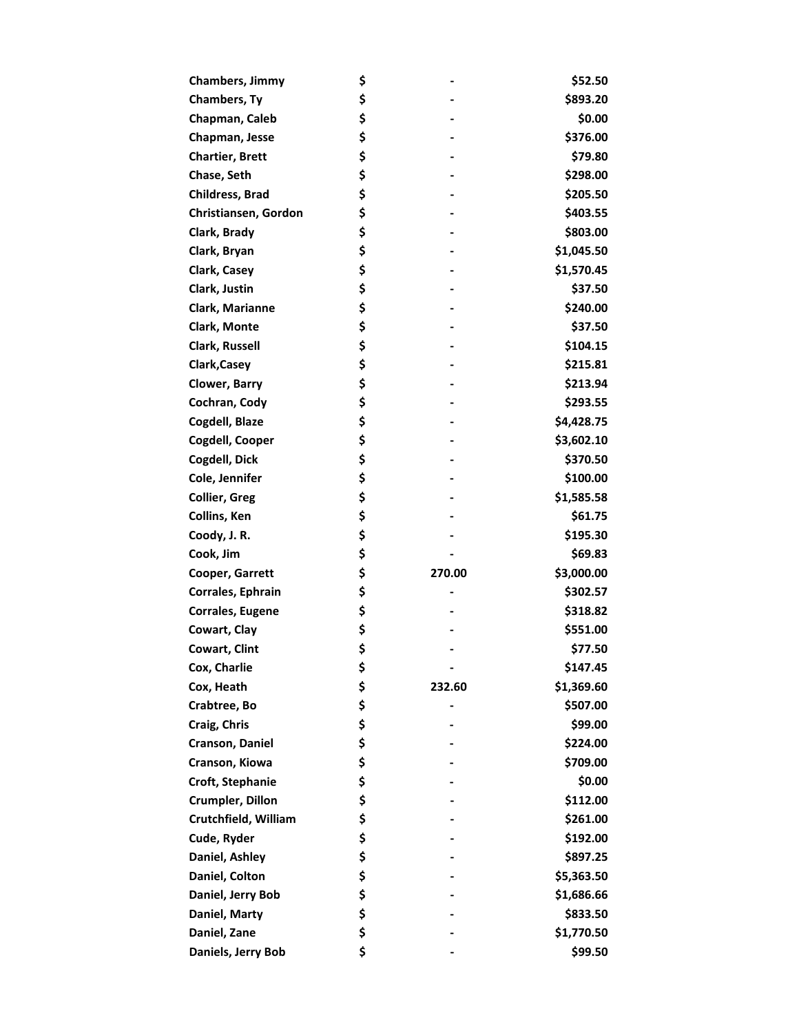| <b>Chambers, Jimmy</b>  | \$           | \$52.50    |
|-------------------------|--------------|------------|
| <b>Chambers, Ty</b>     | \$           | \$893.20   |
| Chapman, Caleb          | \$           | \$0.00     |
| Chapman, Jesse          | \$           | \$376.00   |
| <b>Chartier, Brett</b>  | \$           | \$79.80    |
| Chase, Seth             | \$           | \$298.00   |
| <b>Childress, Brad</b>  | \$           | \$205.50   |
| Christiansen, Gordon    | \$           | \$403.55   |
| Clark, Brady            | \$           | \$803.00   |
| Clark, Bryan            | \$           | \$1,045.50 |
| Clark, Casey            | \$           | \$1,570.45 |
| Clark, Justin           | \$           | \$37.50    |
| Clark, Marianne         | \$           | \$240.00   |
| Clark, Monte            | \$           | \$37.50    |
| <b>Clark, Russell</b>   | \$           | \$104.15   |
| Clark, Casey            | \$           | \$215.81   |
| Clower, Barry           | \$           | \$213.94   |
| Cochran, Cody           | \$           | \$293.55   |
| Cogdell, Blaze          | \$           | \$4,428.75 |
| Cogdell, Cooper         | \$           | \$3,602.10 |
| Cogdell, Dick           | \$           | \$370.50   |
| Cole, Jennifer          | \$           | \$100.00   |
| <b>Collier, Greg</b>    | \$           | \$1,585.58 |
| Collins, Ken            | \$           | \$61.75    |
| Coody, J. R.            | \$           | \$195.30   |
| Cook, Jim               | \$           | \$69.83    |
| Cooper, Garrett         | \$<br>270.00 | \$3,000.00 |
| Corrales, Ephrain       | \$           | \$302.57   |
| <b>Corrales, Eugene</b> | \$           | \$318.82   |
| Cowart, Clay            | \$           | \$551.00   |
| Cowart, Clint           | \$           | \$77.50    |
| Cox, Charlie            | \$           | \$147.45   |
| Cox, Heath              | \$<br>232.60 | \$1,369.60 |
| Crabtree, Bo            | \$           | \$507.00   |
| Craig, Chris            | \$           | \$99.00    |
| Cranson, Daniel         | \$           | \$224.00   |
| Cranson, Kiowa          | \$           | \$709.00   |
| Croft, Stephanie        | \$           | \$0.00     |
| Crumpler, Dillon        | \$           | \$112.00   |
| Crutchfield, William    | \$           | \$261.00   |
| Cude, Ryder             | \$           | \$192.00   |
| Daniel, Ashley          | \$           | \$897.25   |
| Daniel, Colton          | \$           | \$5,363.50 |
| Daniel, Jerry Bob       | \$           | \$1,686.66 |
| Daniel, Marty           | \$           | \$833.50   |
| Daniel, Zane            | \$           | \$1,770.50 |
| Daniels, Jerry Bob      | \$           | \$99.50    |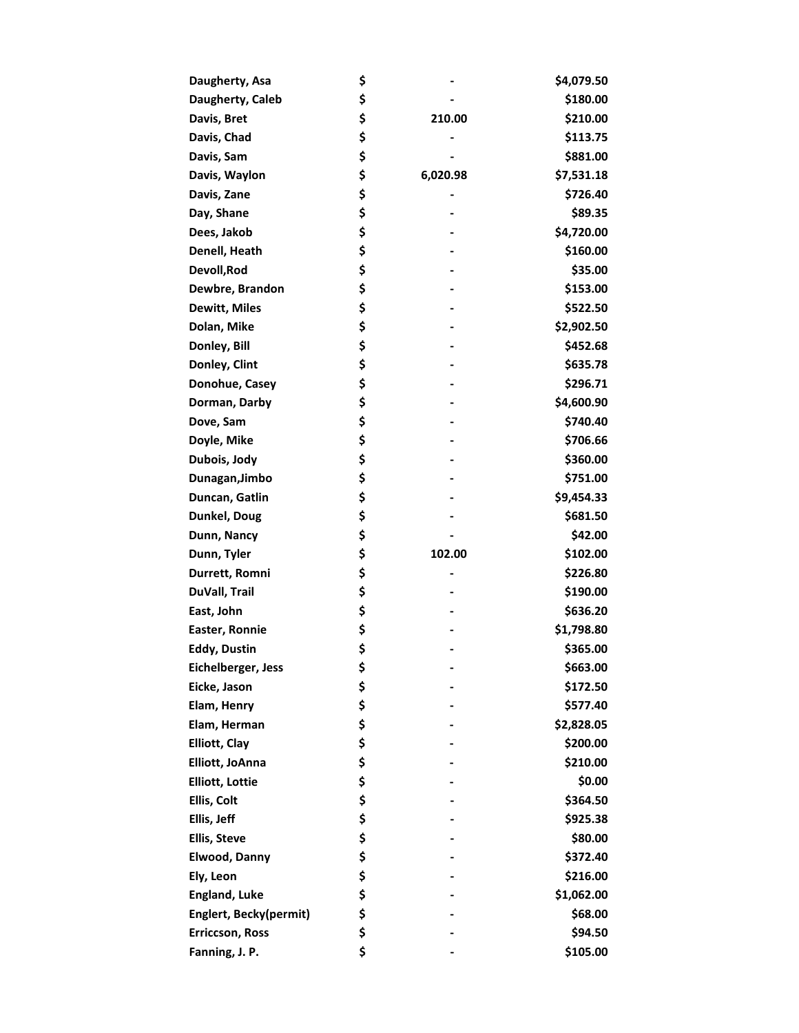| Daugherty, Asa         | \$             | \$4,079.50 |
|------------------------|----------------|------------|
| Daugherty, Caleb       | \$             | \$180.00   |
| Davis, Bret            | \$<br>210.00   | \$210.00   |
| Davis, Chad            | \$             | \$113.75   |
| Davis, Sam             | \$             | \$881.00   |
| Davis, Waylon          | \$<br>6,020.98 | \$7,531.18 |
| Davis, Zane            | \$             | \$726.40   |
| Day, Shane             | \$             | \$89.35    |
| Dees, Jakob            | \$             | \$4,720.00 |
| Denell, Heath          | \$             | \$160.00   |
| Devoll, Rod            | \$             | \$35.00    |
| Dewbre, Brandon        | \$             | \$153.00   |
| <b>Dewitt, Miles</b>   | \$             | \$522.50   |
| Dolan, Mike            | \$             | \$2,902.50 |
| Donley, Bill           | \$             | \$452.68   |
| Donley, Clint          | \$             | \$635.78   |
| Donohue, Casey         | \$             | \$296.71   |
| Dorman, Darby          | \$             | \$4,600.90 |
| Dove, Sam              | \$             | \$740.40   |
| Doyle, Mike            | \$             | \$706.66   |
| Dubois, Jody           | \$             | \$360.00   |
| Dunagan, Jimbo         | \$             | \$751.00   |
| Duncan, Gatlin         | \$             | \$9,454.33 |
| Dunkel, Doug           | \$             | \$681.50   |
| Dunn, Nancy            | \$             | \$42.00    |
| Dunn, Tyler            | \$<br>102.00   | \$102.00   |
| Durrett, Romni         | \$             | \$226.80   |
| DuVall, Trail          | \$             | \$190.00   |
| East, John             | \$             | \$636.20   |
| Easter, Ronnie         | \$             | \$1,798.80 |
| <b>Eddy, Dustin</b>    | \$             | \$365.00   |
| Eichelberger, Jess     | \$             | \$663.00   |
| Eicke, Jason           | \$             | \$172.50   |
| Elam, Henry            | \$             | \$577.40   |
| Elam, Herman           | \$             | \$2,828.05 |
| <b>Elliott, Clay</b>   | \$             | \$200.00   |
| Elliott, JoAnna        | \$             | \$210.00   |
| <b>Elliott, Lottie</b> | \$             | \$0.00     |
| Ellis, Colt            | \$             | \$364.50   |
| Ellis, Jeff            | \$             | \$925.38   |
| <b>Ellis, Steve</b>    | \$             | \$80.00    |
| Elwood, Danny          | \$             | \$372.40   |
| Ely, Leon              | \$             | \$216.00   |
| <b>England, Luke</b>   | \$             | \$1,062.00 |
| Englert, Becky(permit) | \$             | \$68.00    |
| Erriccson, Ross        | \$             | \$94.50    |
| Fanning, J. P.         | \$             | \$105.00   |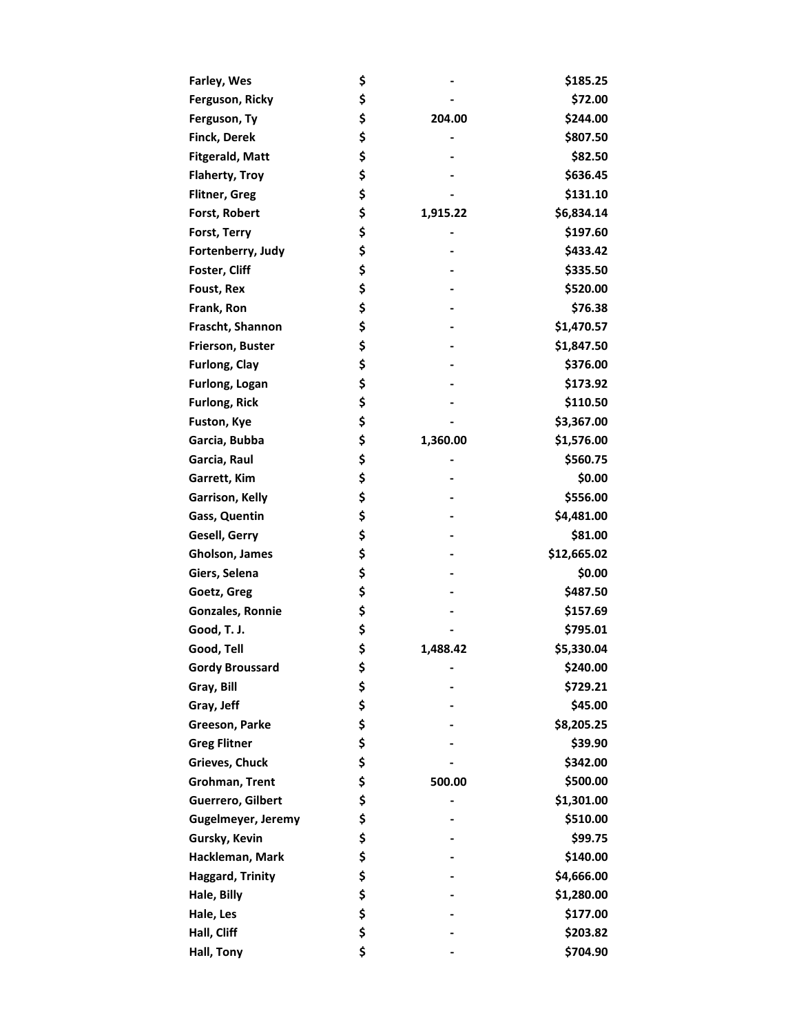| Farley, Wes             | \$             | \$185.25    |
|-------------------------|----------------|-------------|
| Ferguson, Ricky         | \$             | \$72.00     |
| Ferguson, Ty            | \$<br>204.00   | \$244.00    |
| <b>Finck, Derek</b>     | \$             | \$807.50    |
| <b>Fitgerald, Matt</b>  | \$             | \$82.50     |
| <b>Flaherty, Troy</b>   | \$             | \$636.45    |
| <b>Flitner, Greg</b>    | \$             | \$131.10    |
| Forst, Robert           | \$<br>1,915.22 | \$6,834.14  |
| Forst, Terry            | \$             | \$197.60    |
| Fortenberry, Judy       | \$             | \$433.42    |
| Foster, Cliff           | \$             | \$335.50    |
| Foust, Rex              | \$             | \$520.00    |
| Frank, Ron              | \$             | \$76.38     |
| Frascht, Shannon        | \$             | \$1,470.57  |
| <b>Frierson, Buster</b> | \$             | \$1,847.50  |
| <b>Furlong, Clay</b>    | \$             | \$376.00    |
| Furlong, Logan          | \$             | \$173.92    |
| <b>Furlong, Rick</b>    | \$             | \$110.50    |
| Fuston, Kye             | \$             | \$3,367.00  |
| Garcia, Bubba           | \$<br>1,360.00 | \$1,576.00  |
| Garcia, Raul            | \$             | \$560.75    |
| Garrett, Kim            | \$             | \$0.00      |
| Garrison, Kelly         | \$             | \$556.00    |
| Gass, Quentin           | \$             | \$4,481.00  |
| Gesell, Gerry           | \$             | \$81.00     |
| Gholson, James          | \$             | \$12,665.02 |
| Giers, Selena           | \$             | \$0.00      |
| Goetz, Greg             | \$             | \$487.50    |
| <b>Gonzales, Ronnie</b> | \$             | \$157.69    |
| Good, T. J.             | \$             | \$795.01    |
| Good, Tell              | \$<br>1,488.42 | \$5,330.04  |
| <b>Gordy Broussard</b>  | \$             | \$240.00    |
| Gray, Bill              | \$             | \$729.21    |
| Gray, Jeff              | \$             | \$45.00     |
| Greeson, Parke          | \$             | \$8,205.25  |
| <b>Greg Flitner</b>     | \$             | \$39.90     |
| Grieves, Chuck          | \$             | \$342.00    |
| Grohman, Trent          | \$<br>500.00   | \$500.00    |
| Guerrero, Gilbert       | \$             | \$1,301.00  |
| Gugelmeyer, Jeremy      | \$             | \$510.00    |
| Gursky, Kevin           | \$             | \$99.75     |
| Hackleman, Mark         | \$             | \$140.00    |
| <b>Haggard, Trinity</b> | \$             | \$4,666.00  |
| Hale, Billy             | \$             | \$1,280.00  |
| Hale, Les               | \$             | \$177.00    |
| Hall, Cliff             | \$             | \$203.82    |
| Hall, Tony              | \$             | \$704.90    |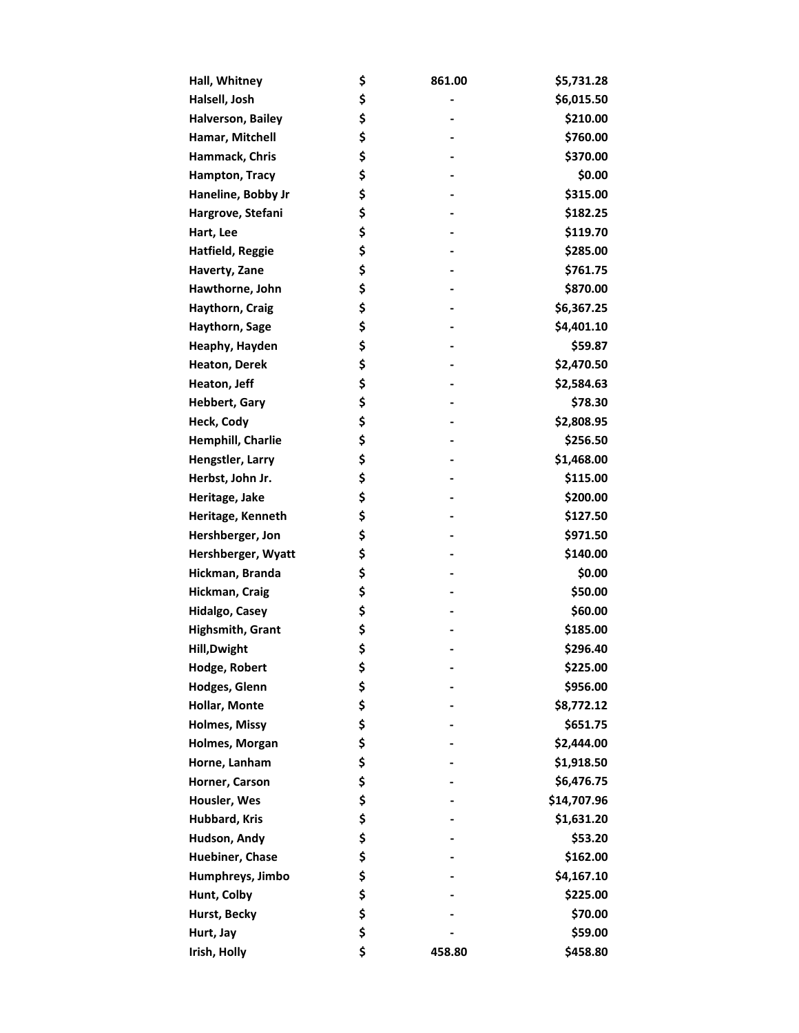| Hall, Whitney         | \$<br>861.00 | \$5,731.28  |
|-----------------------|--------------|-------------|
| Halsell, Josh         | \$           | \$6,015.50  |
| Halverson, Bailey     | \$           | \$210.00    |
| Hamar, Mitchell       | \$           | \$760.00    |
| Hammack, Chris        | \$           | \$370.00    |
| <b>Hampton, Tracy</b> | \$           | \$0.00      |
| Haneline, Bobby Jr    | \$           | \$315.00    |
| Hargrove, Stefani     | \$           | \$182.25    |
| Hart, Lee             | \$           | \$119.70    |
| Hatfield, Reggie      | \$           | \$285.00    |
| Haverty, Zane         | \$           | \$761.75    |
| Hawthorne, John       | \$           | \$870.00    |
| Haythorn, Craig       | \$           | \$6,367.25  |
| Haythorn, Sage        | \$           | \$4,401.10  |
| Heaphy, Hayden        | \$           | \$59.87     |
| Heaton, Derek         | \$           | \$2,470.50  |
| Heaton, Jeff          | \$           | \$2,584.63  |
| <b>Hebbert, Gary</b>  | \$           | \$78.30     |
| Heck, Cody            | \$           | \$2,808.95  |
| Hemphill, Charlie     | \$           | \$256.50    |
| Hengstler, Larry      | \$           | \$1,468.00  |
| Herbst, John Jr.      | \$           | \$115.00    |
| Heritage, Jake        | \$           | \$200.00    |
| Heritage, Kenneth     | \$           | \$127.50    |
| Hershberger, Jon      | \$           | \$971.50    |
| Hershberger, Wyatt    | \$           | \$140.00    |
| Hickman, Branda       | \$           | \$0.00      |
| Hickman, Craig        | \$           | \$50.00     |
| Hidalgo, Casey        | \$           | \$60.00     |
| Highsmith, Grant      | \$           | \$185.00    |
| <b>Hill, Dwight</b>   | \$           | \$296.40    |
| Hodge, Robert         | \$           | \$225.00    |
| Hodges, Glenn         | \$           | \$956.00    |
| Hollar, Monte         | \$           | \$8,772.12  |
| <b>Holmes, Missy</b>  | \$           | \$651.75    |
| Holmes, Morgan        | \$           | \$2,444.00  |
| Horne, Lanham         | \$           | \$1,918.50  |
| Horner, Carson        | \$           | \$6,476.75  |
| Housler, Wes          | \$           | \$14,707.96 |
| Hubbard, Kris         | \$           | \$1,631.20  |
| Hudson, Andy          | \$           | \$53.20     |
| Huebiner, Chase       | \$           | \$162.00    |
| Humphreys, Jimbo      | \$           | \$4,167.10  |
| Hunt, Colby           | \$           | \$225.00    |
| Hurst, Becky          | \$           | \$70.00     |
| Hurt, Jay             | \$           | \$59.00     |
| Irish, Holly          | \$<br>458.80 | \$458.80    |
|                       |              |             |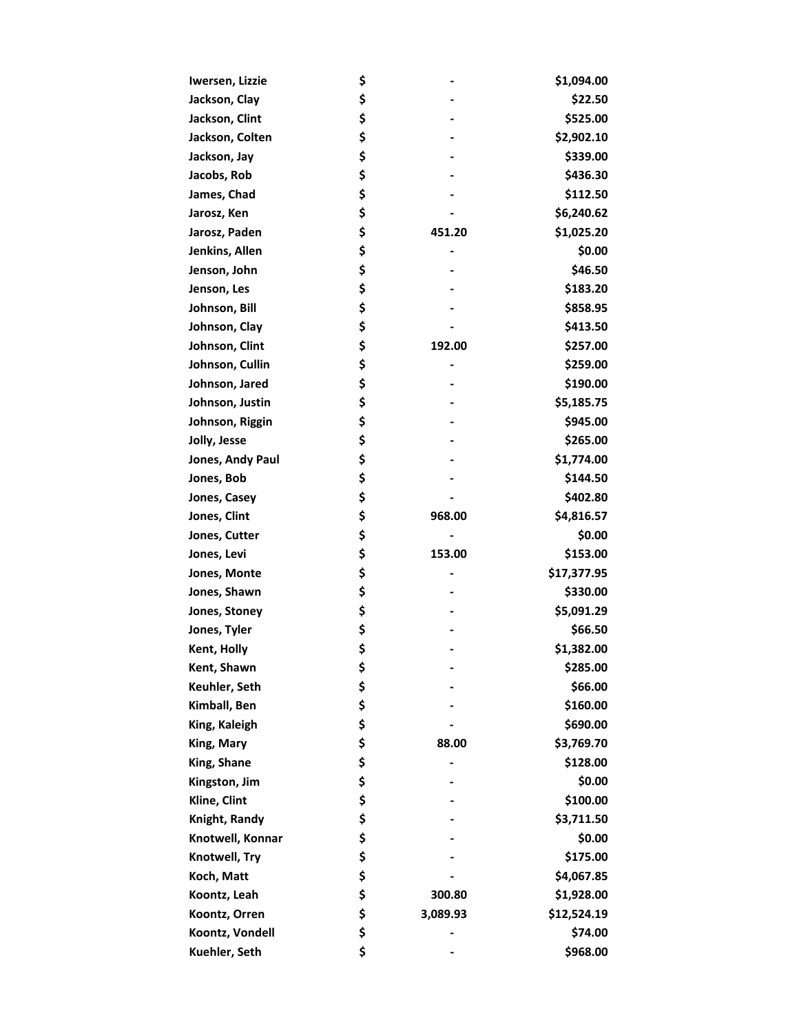| Iwersen, Lizzie  | \$             | \$1,094.00  |
|------------------|----------------|-------------|
| Jackson, Clay    | \$             | \$22.50     |
| Jackson, Clint   | \$             | \$525.00    |
| Jackson, Colten  | \$             | \$2,902.10  |
| Jackson, Jay     | \$             | \$339.00    |
| Jacobs, Rob      | \$             | \$436.30    |
| James, Chad      | \$             | \$112.50    |
| Jarosz, Ken      | \$             | \$6,240.62  |
| Jarosz, Paden    | \$<br>451.20   | \$1,025.20  |
| Jenkins, Allen   | \$             | \$0.00      |
| Jenson, John     | \$             | \$46.50     |
| Jenson, Les      | \$             | \$183.20    |
| Johnson, Bill    | \$             | \$858.95    |
| Johnson, Clay    | \$             | \$413.50    |
| Johnson, Clint   | \$<br>192.00   | \$257.00    |
| Johnson, Cullin  | \$             | \$259.00    |
| Johnson, Jared   | \$             | \$190.00    |
| Johnson, Justin  | \$             | \$5,185.75  |
| Johnson, Riggin  | \$             | \$945.00    |
| Jolly, Jesse     | \$             | \$265.00    |
| Jones, Andy Paul | \$             | \$1,774.00  |
| Jones, Bob       | \$             | \$144.50    |
| Jones, Casey     | \$             | \$402.80    |
| Jones, Clint     | \$<br>968.00   | \$4,816.57  |
| Jones, Cutter    | \$             | \$0.00      |
| Jones, Levi      | \$<br>153.00   | \$153.00    |
| Jones, Monte     | \$             | \$17,377.95 |
| Jones, Shawn     | \$             | \$330.00    |
| Jones, Stoney    | \$             | \$5,091.29  |
| Jones, Tyler     | \$             | \$66.50     |
| Kent, Holly      | \$             | \$1,382.00  |
| Kent, Shawn      | \$             | \$285.00    |
| Keuhler, Seth    | \$             | \$66.00     |
| Kimball, Ben     | \$             | \$160.00    |
| King, Kaleigh    | \$             | \$690.00    |
| King, Mary       | \$<br>88.00    | \$3,769.70  |
| King, Shane      | \$             | \$128.00    |
| Kingston, Jim    | \$             | \$0.00      |
| Kline, Clint     | \$             | \$100.00    |
| Knight, Randy    | \$             | \$3,711.50  |
| Knotwell, Konnar | \$             | \$0.00      |
| Knotwell, Try    | \$             | \$175.00    |
| Koch, Matt       | \$             | \$4,067.85  |
| Koontz, Leah     | \$<br>300.80   | \$1,928.00  |
| Koontz, Orren    | \$<br>3,089.93 | \$12,524.19 |
| Koontz, Vondell  | \$             | \$74.00     |
| Kuehler, Seth    | \$             | \$968.00    |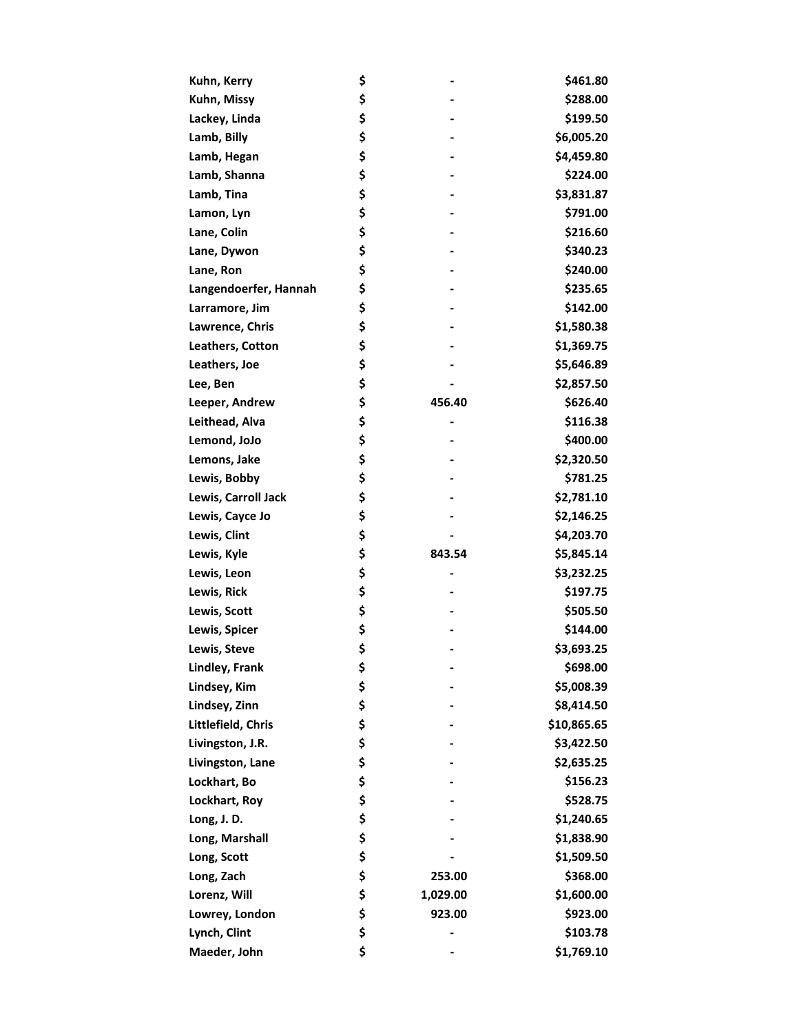| Kuhn, Kerry           | \$             | \$461.80    |
|-----------------------|----------------|-------------|
| Kuhn, Missy           | \$             | \$288.00    |
| Lackey, Linda         | \$             | \$199.50    |
| Lamb, Billy           | \$             | \$6,005.20  |
| Lamb, Hegan           | \$             | \$4,459.80  |
| Lamb, Shanna          | \$             | \$224.00    |
| Lamb, Tina            | \$             | \$3,831.87  |
| Lamon, Lyn            | \$             | \$791.00    |
| Lane, Colin           | \$             | \$216.60    |
| Lane, Dywon           | \$             | \$340.23    |
| Lane, Ron             | \$             | \$240.00    |
| Langendoerfer, Hannah | \$             | \$235.65    |
| Larramore, Jim        | \$             | \$142.00    |
| Lawrence, Chris       | \$             | \$1,580.38  |
| Leathers, Cotton      | \$             | \$1,369.75  |
| Leathers, Joe         | \$             | \$5,646.89  |
| Lee, Ben              | \$             | \$2,857.50  |
| Leeper, Andrew        | \$<br>456.40   | \$626.40    |
| Leithead, Alva        | \$             | \$116.38    |
| Lemond, JoJo          | \$             | \$400.00    |
| Lemons, Jake          | \$             | \$2,320.50  |
| Lewis, Bobby          | \$             | \$781.25    |
| Lewis, Carroll Jack   | \$             | \$2,781.10  |
| Lewis, Cayce Jo       | \$             | \$2,146.25  |
| Lewis, Clint          | \$             | \$4,203.70  |
| Lewis, Kyle           | \$<br>843.54   | \$5,845.14  |
| Lewis, Leon           | \$             | \$3,232.25  |
| Lewis, Rick           | \$             | \$197.75    |
| Lewis, Scott          | \$             | \$505.50    |
| Lewis, Spicer         | \$             | \$144.00    |
| Lewis, Steve          | \$             | \$3,693.25  |
| Lindley, Frank        | \$             | \$698.00    |
| Lindsey, Kim          | \$             | \$5,008.39  |
| Lindsey, Zinn         | \$             | \$8,414.50  |
| Littlefield, Chris    | \$             | \$10,865.65 |
| Livingston, J.R.      | \$             | \$3,422.50  |
| Livingston, Lane      | \$             | \$2,635.25  |
| Lockhart, Bo          | \$             | \$156.23    |
| Lockhart, Roy         | \$             | \$528.75    |
| Long, J.D.            | \$             | \$1,240.65  |
| Long, Marshall        | \$             | \$1,838.90  |
| Long, Scott           | \$             | \$1,509.50  |
| Long, Zach            | \$<br>253.00   | \$368.00    |
| Lorenz, Will          | \$<br>1,029.00 | \$1,600.00  |
| Lowrey, London        | \$<br>923.00   | \$923.00    |
| Lynch, Clint          | \$             | \$103.78    |
| Maeder, John          | \$             | \$1,769.10  |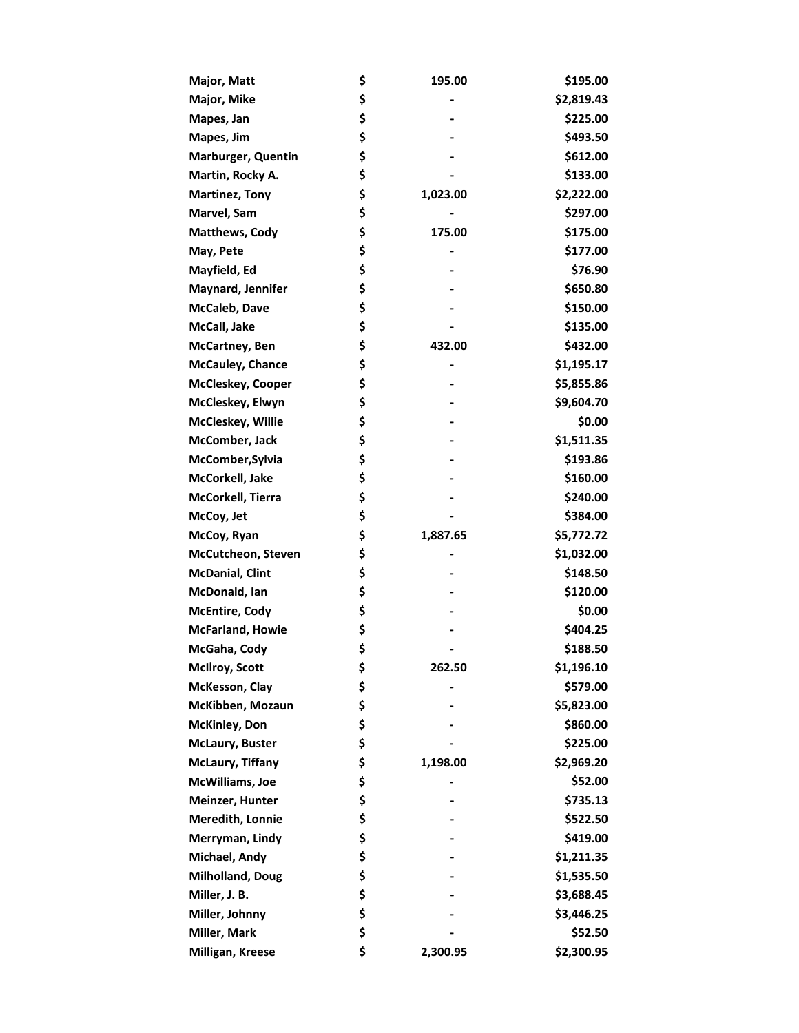| Major, Matt               | \$<br>195.00   | \$195.00   |
|---------------------------|----------------|------------|
| Major, Mike               | \$             | \$2,819.43 |
| Mapes, Jan                | \$             | \$225.00   |
| Mapes, Jim                | \$             | \$493.50   |
| <b>Marburger, Quentin</b> | \$             | \$612.00   |
| Martin, Rocky A.          | \$             | \$133.00   |
| <b>Martinez, Tony</b>     | \$<br>1,023.00 | \$2,222.00 |
| Marvel, Sam               | \$             | \$297.00   |
| <b>Matthews, Cody</b>     | \$<br>175.00   | \$175.00   |
| May, Pete                 | \$             | \$177.00   |
| Mayfield, Ed              | \$             | \$76.90    |
| Maynard, Jennifer         | \$             | \$650.80   |
| McCaleb, Dave             | \$             | \$150.00   |
| McCall, Jake              | \$             | \$135.00   |
| McCartney, Ben            | \$<br>432.00   | \$432.00   |
| <b>McCauley, Chance</b>   | \$             | \$1,195.17 |
| <b>McCleskey, Cooper</b>  | \$             | \$5,855.86 |
| McCleskey, Elwyn          | \$             | \$9,604.70 |
| McCleskey, Willie         | \$             | \$0.00     |
| McComber, Jack            | \$             | \$1,511.35 |
| McComber, Sylvia          | \$             | \$193.86   |
| McCorkell, Jake           | \$             | \$160.00   |
| McCorkell, Tierra         | \$             | \$240.00   |
| McCoy, Jet                | \$             | \$384.00   |
| McCoy, Ryan               | \$<br>1,887.65 | \$5,772.72 |
| McCutcheon, Steven        | \$             | \$1,032.00 |
| <b>McDanial, Clint</b>    | \$             | \$148.50   |
| McDonald, Ian             | \$             | \$120.00   |
| <b>McEntire, Cody</b>     | \$             | \$0.00     |
| <b>McFarland, Howie</b>   | \$             | \$404.25   |
| McGaha, Cody              | \$             | \$188.50   |
| <b>McIlroy, Scott</b>     | \$<br>262.50   | \$1,196.10 |
| McKesson, Clay            | \$             | \$579.00   |
| McKibben, Mozaun          | \$             | \$5,823.00 |
| <b>McKinley, Don</b>      | \$             | \$860.00   |
| McLaury, Buster           | \$             | \$225.00   |
| <b>McLaury, Tiffany</b>   | \$<br>1,198.00 | \$2,969.20 |
| McWilliams, Joe           | \$             | \$52.00    |
| Meinzer, Hunter           | \$             | \$735.13   |
| Meredith, Lonnie          | \$             | \$522.50   |
| Merryman, Lindy           | \$             | \$419.00   |
| Michael, Andy             | \$             | \$1,211.35 |
| Milholland, Doug          | \$             | \$1,535.50 |
| Miller, J. B.             | \$             | \$3,688.45 |
| Miller, Johnny            | \$             | \$3,446.25 |
| Miller, Mark              | \$             | \$52.50    |
| Milligan, Kreese          | \$<br>2,300.95 | \$2,300.95 |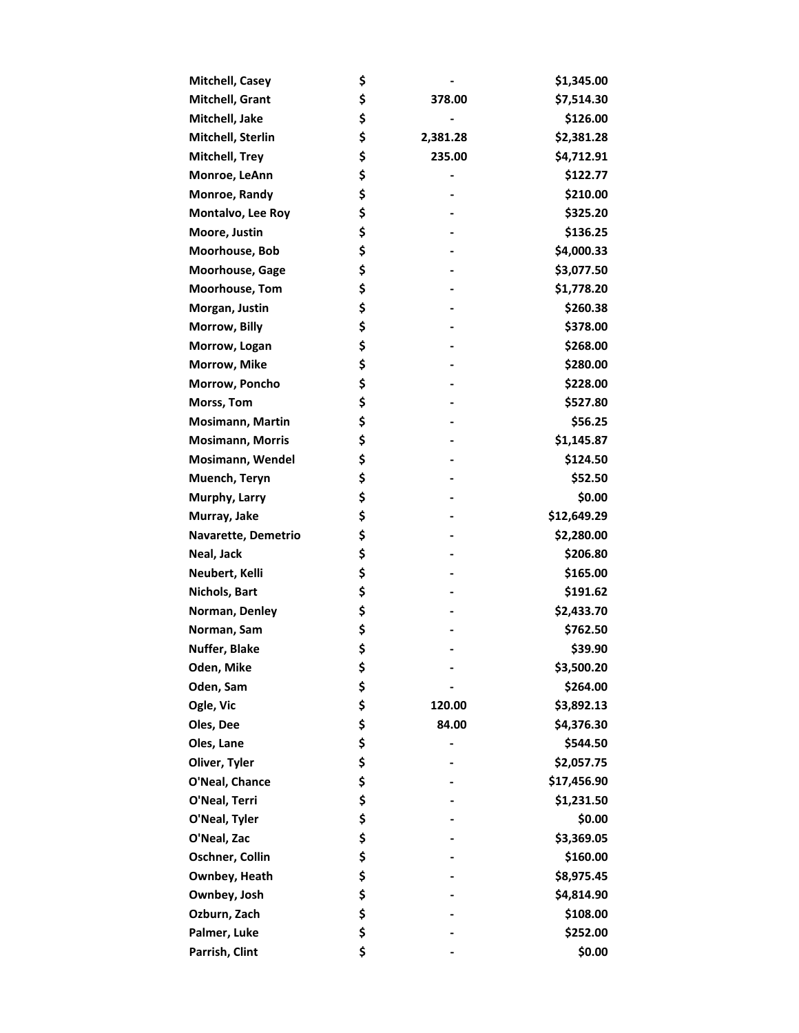| Mitchell, Casey         | \$             | \$1,345.00  |
|-------------------------|----------------|-------------|
| Mitchell, Grant         | \$<br>378.00   | \$7,514.30  |
| Mitchell, Jake          | \$             | \$126.00    |
| Mitchell, Sterlin       | \$<br>2,381.28 | \$2,381.28  |
| <b>Mitchell, Trey</b>   | \$<br>235.00   | \$4,712.91  |
| Monroe, LeAnn           | \$             | \$122.77    |
| Monroe, Randy           | \$             | \$210.00    |
| Montalvo, Lee Roy       | \$             | \$325.20    |
| Moore, Justin           | \$             | \$136.25    |
| Moorhouse, Bob          | \$             | \$4,000.33  |
| Moorhouse, Gage         | \$             | \$3,077.50  |
| <b>Moorhouse, Tom</b>   | \$             | \$1,778.20  |
| Morgan, Justin          | \$             | \$260.38    |
| Morrow, Billy           | \$             | \$378.00    |
| Morrow, Logan           | \$             | \$268.00    |
| Morrow, Mike            | \$             | \$280.00    |
| Morrow, Poncho          | \$             | \$228.00    |
| Morss, Tom              | \$             | \$527.80    |
| Mosimann, Martin        | \$             | \$56.25     |
| <b>Mosimann, Morris</b> | \$             | \$1,145.87  |
| Mosimann, Wendel        | \$             | \$124.50    |
| Muench, Teryn           | \$             | \$52.50     |
| Murphy, Larry           | \$             | \$0.00      |
| Murray, Jake            | \$             | \$12,649.29 |
| Navarette, Demetrio     | \$             | \$2,280.00  |
| Neal, Jack              | \$             | \$206.80    |
| Neubert, Kelli          | \$             | \$165.00    |
| Nichols, Bart           | \$             | \$191.62    |
| Norman, Denley          | \$             | \$2,433.70  |
| Norman, Sam             | \$             | \$762.50    |
| Nuffer, Blake           | \$             | \$39.90     |
| Oden, Mike              | \$             | \$3,500.20  |
| Oden, Sam               | \$             | \$264.00    |
| Ogle, Vic               | \$<br>120.00   | \$3,892.13  |
| Oles, Dee               | \$<br>84.00    | \$4,376.30  |
| Oles, Lane              | \$             | \$544.50    |
| Oliver, Tyler           | \$             | \$2,057.75  |
| O'Neal, Chance          | \$             | \$17,456.90 |
| O'Neal, Terri           | \$             | \$1,231.50  |
| O'Neal, Tyler           | \$             | \$0.00      |
| O'Neal, Zac             | \$             | \$3,369.05  |
| Oschner, Collin         | \$             | \$160.00    |
| Ownbey, Heath           | \$             | \$8,975.45  |
| Ownbey, Josh            | \$             | \$4,814.90  |
| Ozburn, Zach            | \$             | \$108.00    |
| Palmer, Luke            | \$             | \$252.00    |
| Parrish, Clint          | \$             | \$0.00      |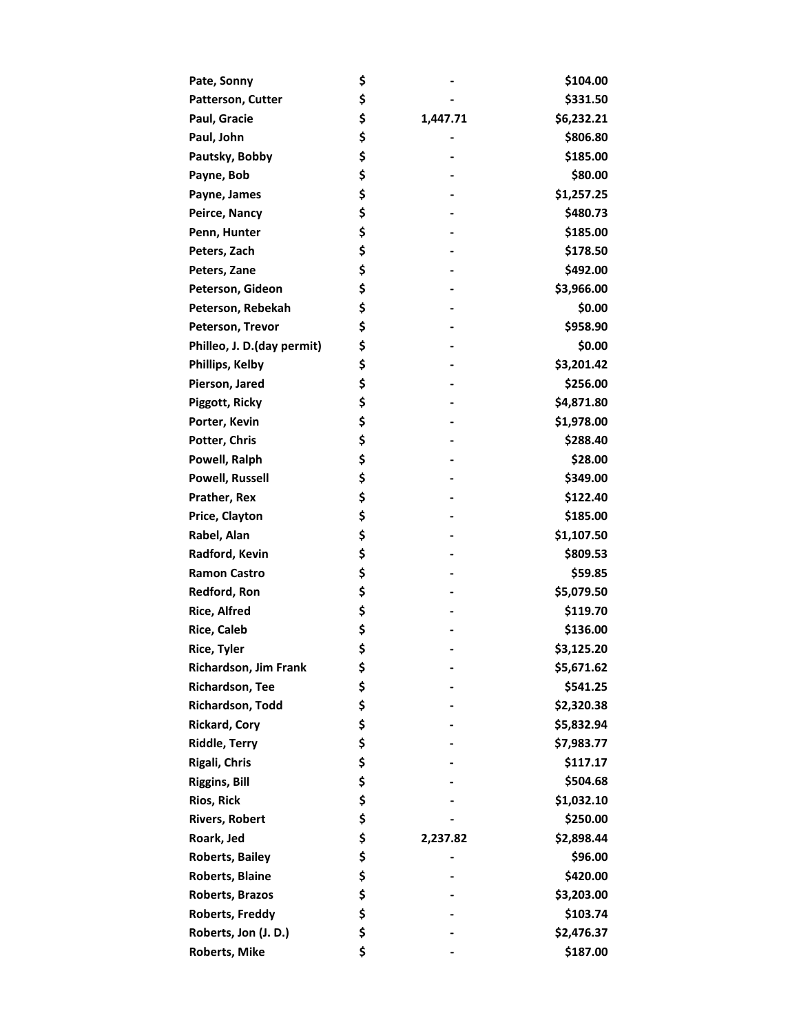| Pate, Sonny                | \$             | \$104.00   |
|----------------------------|----------------|------------|
| Patterson, Cutter          | \$             | \$331.50   |
| Paul, Gracie               | \$<br>1,447.71 | \$6,232.21 |
| Paul, John                 | \$             | \$806.80   |
| Pautsky, Bobby             | \$             | \$185.00   |
| Payne, Bob                 | \$             | \$80.00    |
| Payne, James               | \$             | \$1,257.25 |
| Peirce, Nancy              | \$             | \$480.73   |
| Penn, Hunter               | \$             | \$185.00   |
| Peters, Zach               | \$             | \$178.50   |
| Peters, Zane               | \$             | \$492.00   |
| Peterson, Gideon           | \$             | \$3,966.00 |
| Peterson, Rebekah          | \$             | \$0.00     |
| Peterson, Trevor           | \$             | \$958.90   |
| Philleo, J. D.(day permit) | \$             | \$0.00     |
| Phillips, Kelby            | \$             | \$3,201.42 |
| Pierson, Jared             | \$             | \$256.00   |
| Piggott, Ricky             | \$             | \$4,871.80 |
| Porter, Kevin              | \$             | \$1,978.00 |
| Potter, Chris              | \$             | \$288.40   |
| Powell, Ralph              | \$             | \$28.00    |
| <b>Powell, Russell</b>     | \$             | \$349.00   |
| Prather, Rex               | \$             | \$122.40   |
| Price, Clayton             | \$             | \$185.00   |
| Rabel, Alan                | \$             | \$1,107.50 |
| Radford, Kevin             | \$             | \$809.53   |
| <b>Ramon Castro</b>        | \$             | \$59.85    |
| Redford, Ron               | \$             | \$5,079.50 |
| <b>Rice, Alfred</b>        | \$             | \$119.70   |
| <b>Rice, Caleb</b>         | \$             | \$136.00   |
| <b>Rice, Tyler</b>         | \$             | \$3,125.20 |
| Richardson, Jim Frank      | \$             | \$5,671.62 |
| Richardson, Tee            | \$             | \$541.25   |
| Richardson, Todd           | \$             | \$2,320.38 |
| <b>Rickard, Cory</b>       | \$             | \$5,832.94 |
| <b>Riddle, Terry</b>       | \$             | \$7,983.77 |
| Rigali, Chris              | \$             | \$117.17   |
| <b>Riggins, Bill</b>       | \$             | \$504.68   |
| <b>Rios, Rick</b>          | \$             | \$1,032.10 |
| <b>Rivers, Robert</b>      | \$             | \$250.00   |
| Roark, Jed                 | \$<br>2,237.82 | \$2,898.44 |
| <b>Roberts, Bailey</b>     | \$             | \$96.00    |
| <b>Roberts, Blaine</b>     | \$             | \$420.00   |
| Roberts, Brazos            | \$             | \$3,203.00 |
| <b>Roberts, Freddy</b>     | \$             | \$103.74   |
| Roberts, Jon (J. D.)       | \$             | \$2,476.37 |
| <b>Roberts, Mike</b>       | \$             | \$187.00   |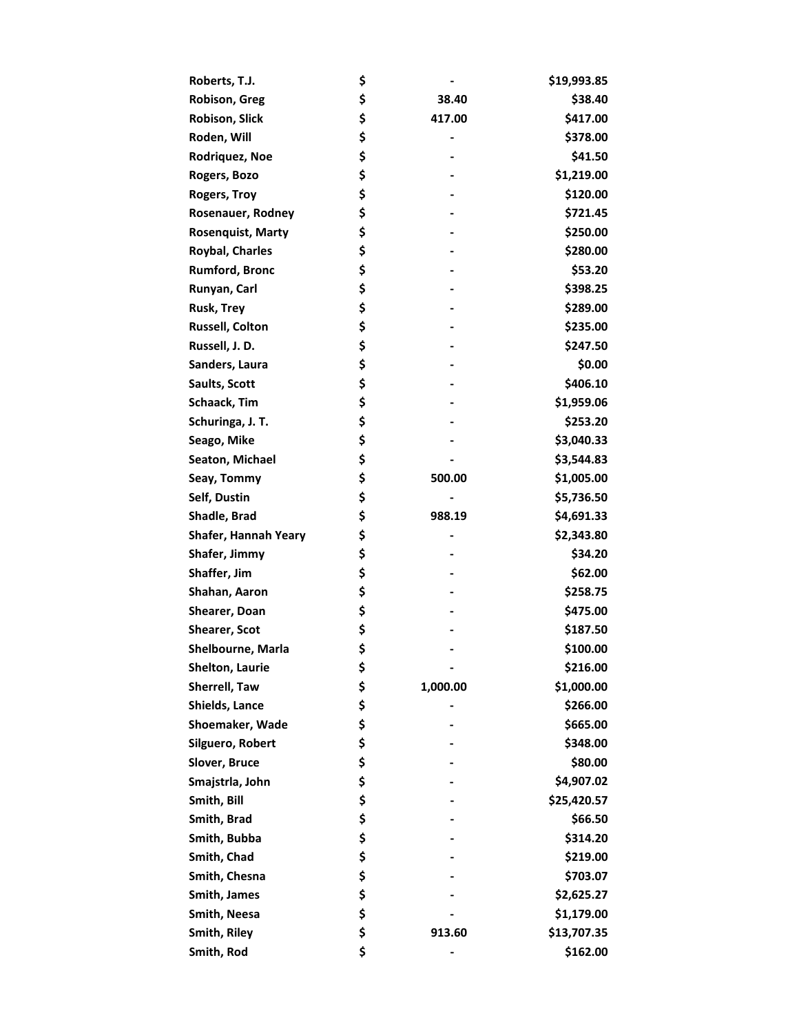| Roberts, T.J.            | \$             | \$19,993.85 |
|--------------------------|----------------|-------------|
| <b>Robison, Greg</b>     | \$<br>38.40    | \$38.40     |
| Robison, Slick           | \$<br>417.00   | \$417.00    |
| Roden, Will              | \$<br>-        | \$378.00    |
| Rodriquez, Noe           | \$             | \$41.50     |
| Rogers, Bozo             | \$             | \$1,219.00  |
| <b>Rogers, Troy</b>      | \$             | \$120.00    |
| Rosenauer, Rodney        | \$             | \$721.45    |
| <b>Rosenquist, Marty</b> | \$             | \$250.00    |
| <b>Roybal, Charles</b>   | \$             | \$280.00    |
| <b>Rumford, Bronc</b>    | \$             | \$53.20     |
| Runyan, Carl             | \$             | \$398.25    |
| <b>Rusk, Trey</b>        | \$             | \$289.00    |
| <b>Russell, Colton</b>   | \$             | \$235.00    |
| Russell, J. D.           | \$             | \$247.50    |
| Sanders, Laura           | \$             | \$0.00      |
| Saults, Scott            | \$             | \$406.10    |
| Schaack, Tim             | \$             | \$1,959.06  |
| Schuringa, J. T.         | \$             | \$253.20    |
| Seago, Mike              | \$             | \$3,040.33  |
| Seaton, Michael          | \$             | \$3,544.83  |
| Seay, Tommy              | \$<br>500.00   | \$1,005.00  |
| Self, Dustin             | \$             | \$5,736.50  |
| Shadle, Brad             | \$<br>988.19   | \$4,691.33  |
| Shafer, Hannah Yeary     | \$             | \$2,343.80  |
| Shafer, Jimmy            | \$             | \$34.20     |
| Shaffer, Jim             | \$             | \$62.00     |
| Shahan, Aaron            | \$             | \$258.75    |
| Shearer, Doan            | \$             | \$475.00    |
| <b>Shearer, Scot</b>     | \$             | \$187.50    |
| Shelbourne, Marla        | \$             | \$100.00    |
| Shelton, Laurie          | \$             | \$216.00    |
| Sherrell, Taw            | \$<br>1,000.00 | \$1,000.00  |
| <b>Shields, Lance</b>    | \$             | \$266.00    |
| Shoemaker, Wade          | \$             | \$665.00    |
| Silguero, Robert         | \$             | \$348.00    |
| Slover, Bruce            | \$             | \$80.00     |
| Smajstrla, John          | \$             | \$4,907.02  |
| Smith, Bill              | \$             | \$25,420.57 |
| Smith, Brad              | \$             | \$66.50     |
| Smith, Bubba             | \$             | \$314.20    |
| Smith, Chad              | \$             | \$219.00    |
| Smith, Chesna            | \$             | \$703.07    |
| Smith, James             | \$             | \$2,625.27  |
| Smith, Neesa             | \$             | \$1,179.00  |
| Smith, Riley             | \$<br>913.60   | \$13,707.35 |
| Smith, Rod               | \$             | \$162.00    |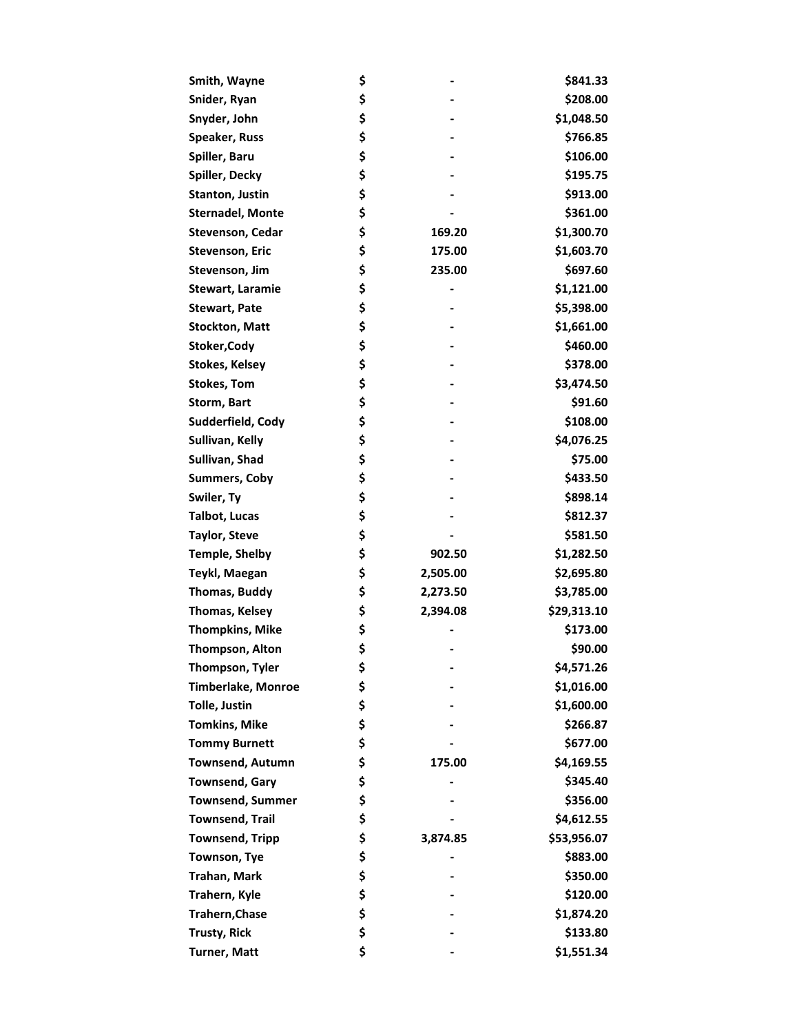| Smith, Wayne              | \$             | \$841.33    |
|---------------------------|----------------|-------------|
| Snider, Ryan              | \$             | \$208.00    |
| Snyder, John              | \$             | \$1,048.50  |
| Speaker, Russ             | \$             | \$766.85    |
| Spiller, Baru             | \$             | \$106.00    |
| Spiller, Decky            | \$             | \$195.75    |
| <b>Stanton, Justin</b>    | \$             | \$913.00    |
| <b>Sternadel, Monte</b>   | \$             | \$361.00    |
| Stevenson, Cedar          | \$<br>169.20   | \$1,300.70  |
| <b>Stevenson, Eric</b>    | \$<br>175.00   | \$1,603.70  |
| Stevenson, Jim            | \$<br>235.00   | \$697.60    |
| <b>Stewart, Laramie</b>   | \$             | \$1,121.00  |
| <b>Stewart, Pate</b>      | \$             | \$5,398.00  |
| <b>Stockton, Matt</b>     | \$             | \$1,661.00  |
| Stoker, Cody              | \$             | \$460.00    |
| <b>Stokes, Kelsey</b>     | \$             | \$378.00    |
| <b>Stokes, Tom</b>        | \$             | \$3,474.50  |
| Storm, Bart               | \$             | \$91.60     |
| Sudderfield, Cody         | \$             | \$108.00    |
| Sullivan, Kelly           | \$             | \$4,076.25  |
| Sullivan, Shad            | \$             | \$75.00     |
| <b>Summers, Coby</b>      | \$             | \$433.50    |
| Swiler, Ty                | \$             | \$898.14    |
| Talbot, Lucas             | \$             | \$812.37    |
| <b>Taylor, Steve</b>      | \$             | \$581.50    |
| <b>Temple, Shelby</b>     | \$<br>902.50   | \$1,282.50  |
| Teykl, Maegan             | \$<br>2,505.00 | \$2,695.80  |
| Thomas, Buddy             | \$<br>2,273.50 | \$3,785.00  |
| Thomas, Kelsey            | \$<br>2,394.08 | \$29,313.10 |
| <b>Thompkins, Mike</b>    | \$             | \$173.00    |
| Thompson, Alton           | \$             | \$90.00     |
| Thompson, Tyler           | \$             | \$4,571.26  |
| <b>Timberlake, Monroe</b> | \$             | \$1,016.00  |
| <b>Tolle, Justin</b>      | \$             | \$1,600.00  |
| <b>Tomkins, Mike</b>      | \$             | \$266.87    |
| <b>Tommy Burnett</b>      | \$             | \$677.00    |
| <b>Townsend, Autumn</b>   | \$<br>175.00   | \$4,169.55  |
| <b>Townsend, Gary</b>     | \$             | \$345.40    |
| <b>Townsend, Summer</b>   | \$             | \$356.00    |
| <b>Townsend, Trail</b>    | \$             | \$4,612.55  |
| <b>Townsend, Tripp</b>    | \$<br>3,874.85 | \$53,956.07 |
| Townson, Tye              | \$             | \$883.00    |
| Trahan, Mark              | \$             | \$350.00    |
| Trahern, Kyle             | \$             | \$120.00    |
| Trahern, Chase            | \$             | \$1,874.20  |
| <b>Trusty, Rick</b>       | \$             | \$133.80    |
| <b>Turner, Matt</b>       | \$             | \$1,551.34  |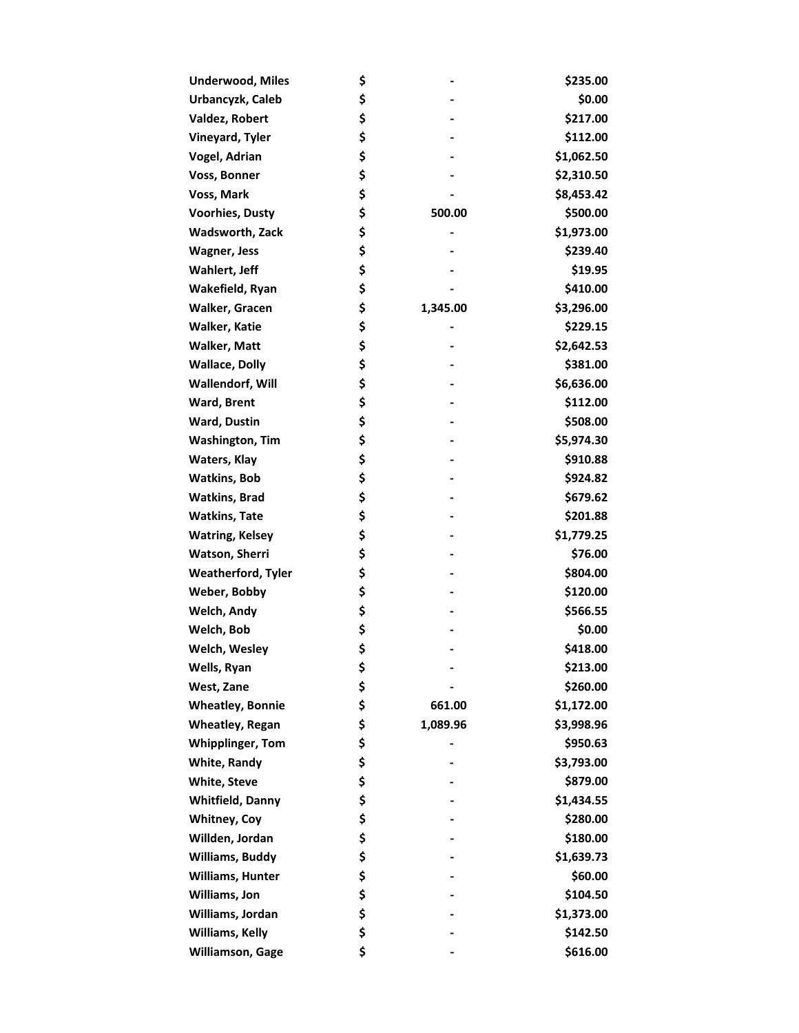| <b>Underwood, Miles</b>   | \$             | \$235.00   |
|---------------------------|----------------|------------|
| Urbancyzk, Caleb          | \$             | \$0.00     |
| Valdez, Robert            | \$             | \$217.00   |
| Vineyard, Tyler           | \$             | \$112.00   |
| Vogel, Adrian             | \$             | \$1,062.50 |
| Voss, Bonner              | \$             | \$2,310.50 |
| Voss, Mark                | \$             | \$8,453.42 |
| <b>Voorhies, Dusty</b>    | \$<br>500.00   | \$500.00   |
| Wadsworth, Zack           | \$             | \$1,973.00 |
| <b>Wagner, Jess</b>       | \$             | \$239.40   |
| Wahlert, Jeff             | \$             | \$19.95    |
| Wakefield, Ryan           | \$             | \$410.00   |
| Walker, Gracen            | \$<br>1,345.00 | \$3,296.00 |
| Walker, Katie             | \$             | \$229.15   |
| Walker, Matt              | \$             | \$2,642.53 |
| <b>Wallace, Dolly</b>     | \$             | \$381.00   |
| Wallendorf, Will          | \$             | \$6,636.00 |
| Ward, Brent               | \$             | \$112.00   |
| Ward, Dustin              | \$             | \$508.00   |
| <b>Washington, Tim</b>    | \$             | \$5,974.30 |
| Waters, Klay              | \$             | \$910.88   |
| <b>Watkins, Bob</b>       | \$             | \$924.82   |
| <b>Watkins, Brad</b>      | \$             | \$679.62   |
| <b>Watkins, Tate</b>      | \$             | \$201.88   |
| <b>Watring, Kelsey</b>    | \$             | \$1,779.25 |
| Watson, Sherri            | \$             | \$76.00    |
| <b>Weatherford, Tyler</b> | \$             | \$804.00   |
| Weber, Bobby              | \$             | \$120.00   |
| Welch, Andy               | \$             | \$566.55   |
| Welch, Bob                | \$             | \$0.00     |
| Welch, Wesley             | \$             | \$418.00   |
| Wells, Ryan               | \$             | \$213.00   |
| West, Zane                | \$             | \$260.00   |
| <b>Wheatley, Bonnie</b>   | \$<br>661.00   | \$1,172.00 |
| <b>Wheatley, Regan</b>    | \$<br>1,089.96 | \$3,998.96 |
| <b>Whipplinger, Tom</b>   | \$             | \$950.63   |
| <b>White, Randy</b>       | \$             | \$3,793.00 |
| <b>White, Steve</b>       | \$             | \$879.00   |
| <b>Whitfield, Danny</b>   | \$             | \$1,434.55 |
| <b>Whitney, Coy</b>       | \$             | \$280.00   |
| Willden, Jordan           | \$             | \$180.00   |
| <b>Williams, Buddy</b>    | \$             | \$1,639.73 |
| Williams, Hunter          | \$             | \$60.00    |
| Williams, Jon             | \$             | \$104.50   |
| Williams, Jordan          | \$             | \$1,373.00 |
| Williams, Kelly           | \$             | \$142.50   |
| <b>Williamson, Gage</b>   | \$             | \$616.00   |